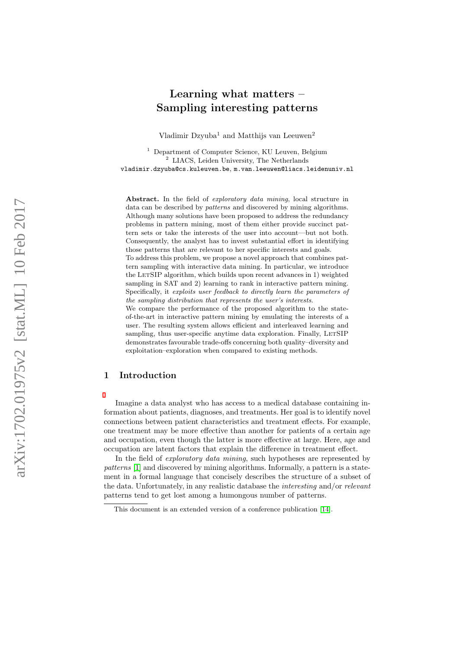# Learning what matters – Sampling interesting patterns

Vladimir Dzyuba <sup>1</sup> and Matthijs van Leeuwen 2

<sup>1</sup> Department of Computer Science, KU Leuven, Belgium <sup>2</sup> LIACS, Leiden University, The Netherlands vladimir.dzyuba@cs.kuleuven.be , m.van.leeuwen@liacs.leidenuniv.nl

Abstract. In the field of *exploratory data mining*, local structure in data can be described by patterns and discovered by mining algorithms. Although many solutions have been proposed to address the redundancy problems in pattern mining, most of them either provide succinct pattern sets or take the interests of the user into account—but not both. Consequently, the analyst has to invest substantial effort in identifying those patterns that are relevant to her specific interests and goals. To address this problem, we propose a novel approach that combines pattern sampling with interactive data mining. In particular, we introduce the LETSIP algorithm, which builds upon recent advances in 1) weighted sampling in SAT and 2) learning to rank in interactive pattern mining. Specifically, it exploits user feedback to directly learn the parameters of the sampling distribution that represents the user's interests . We compare the performance of the proposed algorithm to the state-

of-the-art in interactive pattern mining by emulating the interests of a user. The resulting system allows efficient and interleaved learning and sampling, thus user-specific anytime data exploration. Finally, LETSIP demonstrates favourable trade-offs concerning both quality–diversity and exploitation–exploration when compared to existing methods.

### 1 Introduction

Imagine a data analyst who has access to a medical database containing information about patients, diagnoses, and treatments. Her goal is to identify novel connections between patient characteristics and treatment effects. For example, one treatment may be more effective than another for patients of a certain age and occupation, even though the latter is more effective at large. Here, age and occupation are latent factors that explain the difference in treatment effect.

In the field of *exploratory data mining*, such hypotheses are represented by patterns [\[1\]](#page-11-0) and discovered by mining algorithms. Informally, a pattern is a statement in a formal language that concisely describes the structure of a subset of the data. Unfortunately, in any realistic database the interesting and/or relevant patterns tend to get lost among a humongous number of patterns.

This document is an extended version of a conference publication [\[14\]](#page-12-0).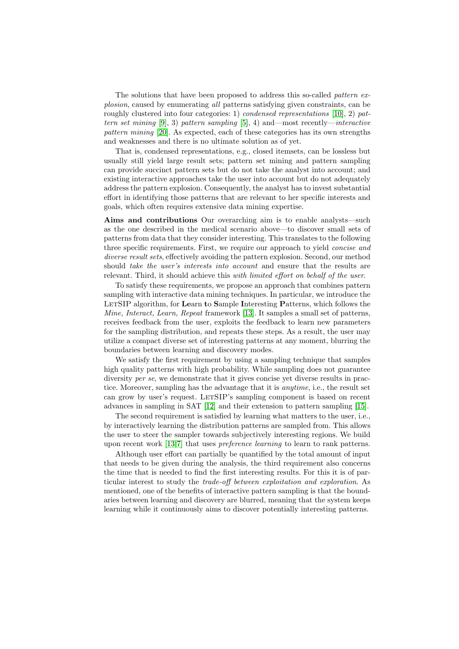The solutions that have been proposed to address this so-called *pattern ex*plosion, caused by enumerating all patterns satisfying given constraints, can be roughly clustered into four categories: 1) *condensed representations* [\[10\]](#page-12-1), 2) pattern set mining  $[9], 3$  $[9], 3$ ) pattern sampling  $[5], 4$  $[5], 4$ ) and—most recently—interactive pattern mining [\[20\]](#page-12-3). As expected, each of these categories has its own strengths and weaknesses and there is no ultimate solution as of yet.

That is, condensed representations, e.g., closed itemsets, can be lossless but usually still yield large result sets; pattern set mining and pattern sampling can provide succinct pattern sets but do not take the analyst into account; and existing interactive approaches take the user into account but do not adequately address the pattern explosion. Consequently, the analyst has to invest substantial effort in identifying those patterns that are relevant to her specific interests and goals, which often requires extensive data mining expertise.

Aims and contributions Our overarching aim is to enable analysts—such as the one described in the medical scenario above—to discover small sets of patterns from data that they consider interesting. This translates to the following three specific requirements. First, we require our approach to yield *concise and* diverse result sets, effectively avoiding the pattern explosion. Second, our method should take the user's interests into account and ensure that the results are relevant. Third, it should achieve this with limited effort on behalf of the user.

To satisfy these requirements, we propose an approach that combines pattern sampling with interactive data mining techniques. In particular, we introduce the LETSIP algorithm, for Learn to Sample Interesting Patterns, which follows the Mine, Interact, Learn, Repeat framework [\[13\]](#page-12-4). It samples a small set of patterns, receives feedback from the user, exploits the feedback to learn new parameters for the sampling distribution, and repeats these steps. As a result, the user may utilize a compact diverse set of interesting patterns at any moment, blurring the boundaries between learning and discovery modes.

We satisfy the first requirement by using a sampling technique that samples high quality patterns with high probability. While sampling does not guarantee diversity per se, we demonstrate that it gives concise yet diverse results in practice. Moreover, sampling has the advantage that it is anytime, i.e., the result set can grow by user's request. LETSIP's sampling component is based on recent advances in sampling in SAT [\[12\]](#page-12-5) and their extension to pattern sampling [\[15\]](#page-12-6).

The second requirement is satisfied by learning what matters to the user, i.e., by interactively learning the distribution patterns are sampled from. This allows the user to steer the sampler towards subjectively interesting regions. We build upon recent work [\[13,](#page-12-4)[7\]](#page-11-2) that uses preference learning to learn to rank patterns.

Although user effort can partially be quantified by the total amount of input that needs to be given during the analysis, the third requirement also concerns the time that is needed to find the first interesting results. For this it is of particular interest to study the trade-off between exploitation and exploration. As mentioned, one of the benefits of interactive pattern sampling is that the boundaries between learning and discovery are blurred, meaning that the system keeps learning while it continuously aims to discover potentially interesting patterns.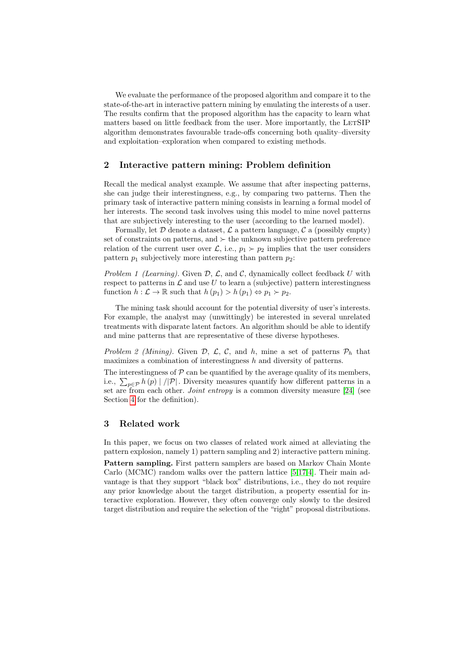We evaluate the performance of the proposed algorithm and compare it to the state-of-the-art in interactive pattern mining by emulating the interests of a user. The results confirm that the proposed algorithm has the capacity to learn what matters based on little feedback from the user. More importantly, the LETSIP algorithm demonstrates favourable trade-offs concerning both quality–diversity and exploitation–exploration when compared to existing methods.

# 2 Interactive pattern mining: Problem definition

Recall the medical analyst example. We assume that after inspecting patterns, she can judge their interestingness, e.g., by comparing two patterns. Then the primary task of interactive pattern mining consists in learning a formal model of her interests. The second task involves using this model to mine novel patterns that are subjectively interesting to the user (according to the learned model).

Formally, let  $D$  denote a dataset,  $\mathcal L$  a pattern language,  $\mathcal C$  a (possibly empty) set of constraints on patterns, and  $\succ$  the unknown subjective pattern preference relation of the current user over  $\mathcal{L}$ , i.e.,  $p_1 \succ p_2$  implies that the user considers pattern  $p_1$  subjectively more interesting than pattern  $p_2$ :

Problem 1 (Learning). Given  $D, \mathcal{L}$ , and  $\mathcal{C}$ , dynamically collect feedback U with respect to patterns in  $\mathcal L$  and use U to learn a (subjective) pattern interestingness function  $h : \mathcal{L} \to \mathbb{R}$  such that  $h(p_1) > h(p_1) \Leftrightarrow p_1 \succ p_2$ .

The mining task should account for the potential diversity of user's interests. For example, the analyst may (unwittingly) be interested in several unrelated treatments with disparate latent factors. An algorithm should be able to identify and mine patterns that are representative of these diverse hypotheses.

Problem 2 (Mining). Given  $\mathcal{D}, \mathcal{L}, \mathcal{C}$ , and h, mine a set of patterns  $\mathcal{P}_h$  that maximizes a combination of interestingness  $h$  and diversity of patterns.

The interestingness of  $P$  can be quantified by the average quality of its members, i.e.,  $\sum_{p\in\mathcal{P}} h(p) |p|$ . Diversity measures quantify how different patterns in a set are from each other. *Joint entropy* is a common diversity measure [\[24\]](#page-12-7) (see Section [4](#page-3-0) for the definition).

### 3 Related work

In this paper, we focus on two classes of related work aimed at alleviating the pattern explosion, namely 1) pattern sampling and 2) interactive pattern mining.

Pattern sampling. First pattern samplers are based on Markov Chain Monte Carlo (MCMC) random walks over the pattern lattice [\[5,](#page-11-1)[17,](#page-12-8)[4\]](#page-11-3). Their main advantage is that they support "black box" distributions, i.e., they do not require any prior knowledge about the target distribution, a property essential for interactive exploration. However, they often converge only slowly to the desired target distribution and require the selection of the "right" proposal distributions.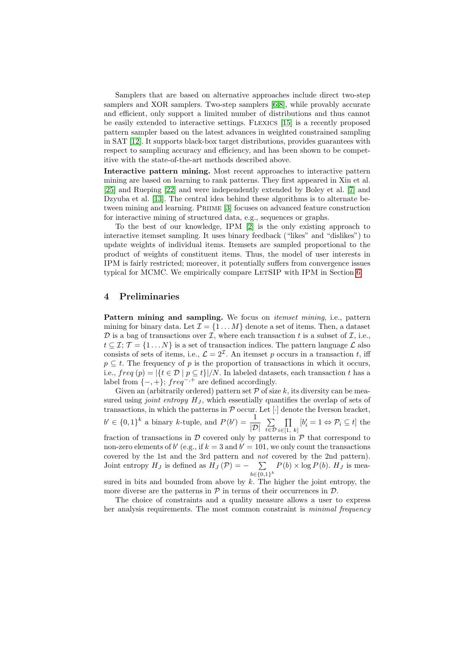Samplers that are based on alternative approaches include direct two-step samplers and XOR samplers. Two-step samplers [\[6](#page-11-4)[,8\]](#page-11-5), while provably accurate and efficient, only support a limited number of distributions and thus cannot be easily extended to interactive settings. Flexics [\[15\]](#page-12-6) is a recently proposed pattern sampler based on the latest advances in weighted constrained sampling in SAT [\[12\]](#page-12-5). It supports black-box target distributions, provides guarantees with respect to sampling accuracy and efficiency, and has been shown to be competitive with the state-of-the-art methods described above.

Interactive pattern mining. Most recent approaches to interactive pattern mining are based on learning to rank patterns. They first appeared in Xin et al. [\[25\]](#page-12-9) and Rueping [\[22\]](#page-12-10) and were independently extended by Boley et al. [\[7\]](#page-11-2) and Dzyuba et al. [\[13\]](#page-12-4). The central idea behind these algorithms is to alternate between mining and learning. Priime [\[3\]](#page-11-6) focuses on advanced feature construction for interactive mining of structured data, e.g., sequences or graphs.

To the best of our knowledge, IPM [\[2\]](#page-11-7) is the only existing approach to interactive itemset sampling. It uses binary feedback ("likes" and "dislikes") to update weights of individual items. Itemsets are sampled proportional to the product of weights of constituent items. Thus, the model of user interests in IPM is fairly restricted; moreover, it potentially suffers from convergence issues typical for MCMC. We empirically compare LETSIP with IPM in Section [6.](#page-7-0)

### <span id="page-3-0"></span>4 Preliminaries

Pattern mining and sampling. We focus on *itemset mining*, i.e., pattern mining for binary data. Let  $\mathcal{I} = \{1 \dots M\}$  denote a set of items. Then, a dataset  $\mathcal D$  is a bag of transactions over  $\mathcal I$ , where each transaction t is a subset of  $\mathcal I$ , i.e.,  $t \subseteq \mathcal{I}; \mathcal{T} = \{1 \dots N\}$  is a set of transaction indices. The pattern language  $\mathcal{L}$  also consists of sets of items, i.e.,  $\mathcal{L} = 2^{\mathcal{I}}$ . An itemset p occurs in a transaction t, iff  $p \subseteq t$ . The frequency of p is the proportion of transactions in which it occurs, i.e.,  $freq(p) = |\{t \in \mathcal{D} \mid p \subseteq t\}|/N$ . In labeled datasets, each transaction t has a label from  $\{-, +\}$ ; freq<sup>-,+</sup> are defined accordingly.

Given an (arbitrarily ordered) pattern set  $P$  of size k, its diversity can be measured using *joint entropy*  $H_J$ , which essentially quantifies the overlap of sets of transactions, in which the patterns in  $P$  occur. Let  $\lceil \cdot \rceil$  denote the Iverson bracket,  $b' \in \{0,1\}^k$  a binary k-tuple, and  $P(b') = \frac{1}{|\mathcal{D}|} \sum_{t \in \mathcal{I}}$ t∈D  $\prod$  $i \in [1, k]$  $[b'_i = 1 \Leftrightarrow \mathcal{P}_i \subseteq t]$  the fraction of transactions in  $D$  covered only by patterns in  $P$  that correspond to non-zero elements of b' (e.g., if  $k = 3$  and  $b' = 101$ , we only count the transactions covered by the 1st and the 3rd pattern and not covered by the 2nd pattern). Joint entropy  $H_J$  is defined as  $H_J(\mathcal{P}) = -\sum$  $\sum_{b \in \{0,1\}^k} P(b) \times \log P(b)$ .  $H_J$  is mea-

sured in bits and bounded from above by  $k$ . The higher the joint entropy, the more diverse are the patterns in  $P$  in terms of their occurrences in  $D$ .

The choice of constraints and a quality measure allows a user to express her analysis requirements. The most common constraint is *minimal frequency*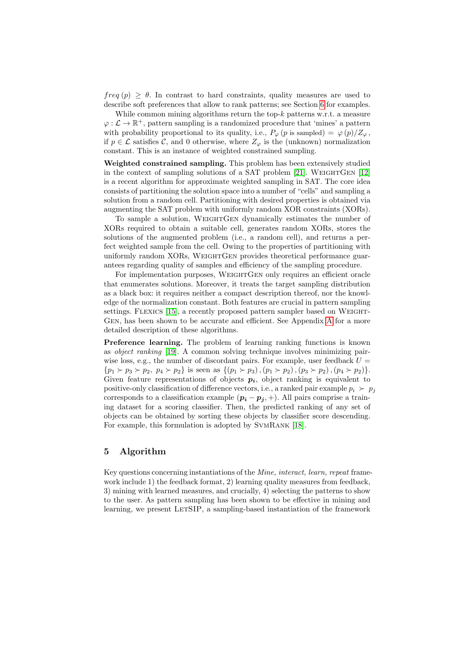$freq(p) \geq \theta$ . In contrast to hard constraints, quality measures are used to describe soft preferences that allow to rank patterns; see Section [6](#page-7-0) for examples.

While common mining algorithms return the top- $k$  patterns w.r.t. a measure  $\varphi : \mathcal{L} \to \mathbb{R}^+$ , pattern sampling is a randomized procedure that 'mines' a pattern with probability proportional to its quality, i.e.,  $P_{\varphi}(p \text{ is sampled}) = \varphi(p)/Z_{\varphi}$ , if  $p \in \mathcal{L}$  satisfies  $\mathcal{C}$ , and 0 otherwise, where  $Z_{\varphi}$  is the (unknown) normalization constant. This is an instance of weighted constrained sampling.

Weighted constrained sampling. This problem has been extensively studied in the context of sampling solutions of a SAT problem  $[21]$ . WEIGHTGEN  $[12]$ is a recent algorithm for approximate weighted sampling in SAT. The core idea consists of partitioning the solution space into a number of "cells" and sampling a solution from a random cell. Partitioning with desired properties is obtained via augmenting the SAT problem with uniformly random XOR constraints (XORs).

To sample a solution, WeightGen dynamically estimates the number of XORs required to obtain a suitable cell, generates random XORs, stores the solutions of the augmented problem (i.e., a random cell), and returns a perfect weighted sample from the cell. Owing to the properties of partitioning with uniformly random XORs, WEIGHTGEN provides theoretical performance guarantees regarding quality of samples and efficiency of the sampling procedure.

For implementation purposes, WEIGHTGEN only requires an efficient oracle that enumerates solutions. Moreover, it treats the target sampling distribution as a black box: it requires neither a compact description thereof, nor the knowledge of the normalization constant. Both features are crucial in pattern sampling settings. FLEXICS [\[15\]](#page-12-6), a recently proposed pattern sampler based on WEIGHT-Gen, has been shown to be accurate and efficient. See Appendix [A](#page-12-12) for a more detailed description of these algorithms.

Preference learning. The problem of learning ranking functions is known as object ranking [\[19\]](#page-12-13). A common solving technique involves minimizing pairwise loss, e.g., the number of discordant pairs. For example, user feedback  $U =$  $\{p_1 \succ p_3 \succ p_2, p_4 \succ p_2\}$  is seen as  $\{(p_1 \succ p_3), (p_1 \succ p_2), (p_3 \succ p_2), (p_4 \succ p_2)\}.$ Given feature representations of objects  $p_i$ , object ranking is equivalent to positive-only classification of difference vectors, i.e., a ranked pair example  $p_i > p_j$ corresponds to a classification example  $(p_i - p_j, +)$ . All pairs comprise a training dataset for a scoring classifier. Then, the predicted ranking of any set of objects can be obtained by sorting these objects by classifier score descending. For example, this formulation is adopted by SvmRank [\[18\]](#page-12-14).

# <span id="page-4-0"></span>5 Algorithm

Key questions concerning instantiations of the Mine, interact, learn, repeat framework include 1) the feedback format, 2) learning quality measures from feedback, 3) mining with learned measures, and crucially, 4) selecting the patterns to show to the user. As pattern sampling has been shown to be effective in mining and learning, we present LETSIP, a sampling-based instantiation of the framework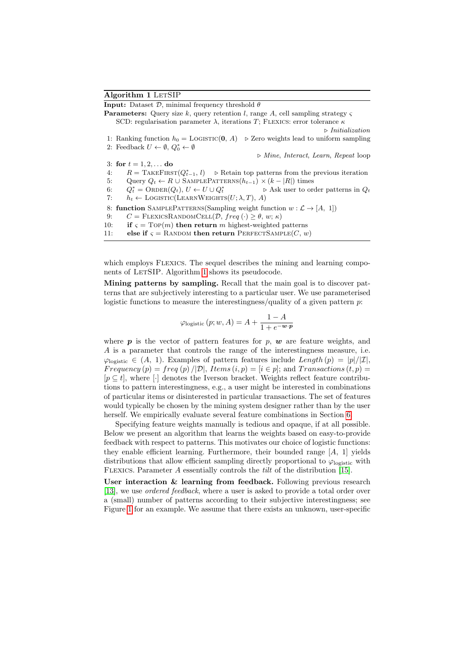#### Algorithm 1 LETSIP

**Input:** Dataset  $\mathcal{D}$ , minimal frequency threshold  $\theta$ 

**Parameters:** Query size k, query retention l, range A, cell sampling strategy  $\varsigma$ SCD: regularisation parameter  $\lambda$ , iterations T; FLEXICS: error tolerance  $\kappa$ 

 $\triangleright$  Initialization. 1: Ranking function  $h_0 =$  LOGISTIC(0, A)  $\triangleright$  Zero weights lead to uniform sampling 2: Feedback  $U \leftarrow \emptyset$ ,  $Q_0^* \leftarrow \emptyset$ 

 $\triangleright$  Mine, Interact, Learn, Repeat loop

- 3: for  $t = 1, 2, ...$  do
- 4:  $R = \text{TAKEFirst}(Q_{t-1}^*, l)$  > Retain top patterns from the previous iteration
- 5: Query  $Q_t \leftarrow R \cup \text{SAMPLEPATTERNS}(h_{t-1}) \times (k |R|)$  times
- 6:  $Q_t^* = \text{ORDER}(Q_t), U \leftarrow U \cup Q_t^*$  $\triangleright$  Ask user to order patterns in  $Q_t$ 7:  $h_t \leftarrow$  LOGISTIC(LEARNWEIGHTS( $U; \lambda, T$ ), A)

8: function SAMPLEPATTERNS(Sampling weight function  $w : \mathcal{L} \to [A, 1]$ )

- 9:  $C = \text{FLEXICSRANDOMCELL}(\mathcal{D}, \text{freq}(\cdot) > \theta, w; \kappa)$
- 10: if  $\varsigma = \text{Top}(m)$  then return m highest-weighted patterns
- <span id="page-5-0"></span>11: else if  $\varsigma =$  RANDOM then return PERFECTSAMPLE(C, w)

which employs FLEXICS. The sequel describes the mining and learning compo-nents of LETSIP. Algorithm [1](#page-5-0) shows its pseudocode.

Mining patterns by sampling. Recall that the main goal is to discover patterns that are subjectively interesting to a particular user. We use parameterised logistic functions to measure the interestingness/quality of a given pattern  $p$ :

$$
\varphi_{\text{logistic}}\left(p;w,A\right)=A+\frac{1-A}{1+e^{-\bm{w}\cdot\bm{p}}}
$$

where  $p$  is the vector of pattern features for  $p$ ,  $w$  are feature weights, and A is a parameter that controls the range of the interestingness measure, i.e.  $\varphi$ <sub>logistic</sub>  $\in$  (A, 1). Examples of pattern features include Length (p) =  $|p|/|\mathcal{I}|$ , Frequency  $(p) = freq(p)/|\mathcal{D}|$ , Items  $(i, p) = [i \in p]$ ; and Transactions  $(t, p) =$  $[p \subset t]$ , where  $[\cdot]$  denotes the Iverson bracket. Weights reflect feature contributions to pattern interestingness, e.g., a user might be interested in combinations of particular items or disinterested in particular transactions. The set of features would typically be chosen by the mining system designer rather than by the user herself. We empirically evaluate several feature combinations in Section [6.](#page-7-0)

Specifying feature weights manually is tedious and opaque, if at all possible. Below we present an algorithm that learns the weights based on easy-to-provide feedback with respect to patterns. This motivates our choice of logistic functions: they enable efficient learning. Furthermore, their bounded range  $[A, 1]$  yields distributions that allow efficient sampling directly proportional to  $\varphi$ <sub>logistic</sub> with Flexics. Parameter A essentially controls the tilt of the distribution [\[15\]](#page-12-6).

User interaction & learning from feedback. Following previous research [\[13\]](#page-12-4), we use ordered feedback, where a user is asked to provide a total order over a (small) number of patterns according to their subjective interestingness; see Figure [1](#page-7-1) for an example. We assume that there exists an unknown, user-specific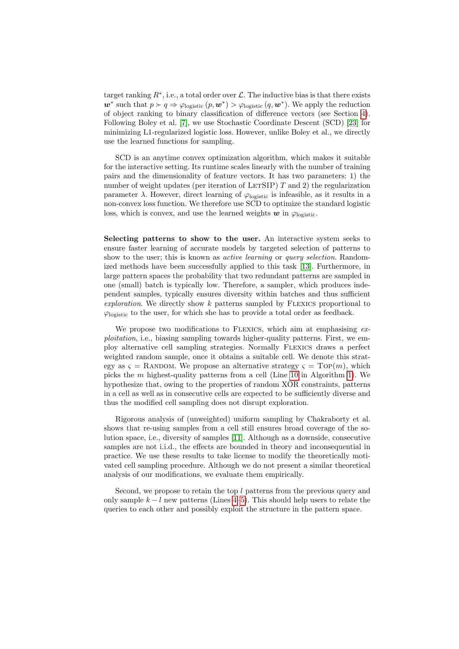target ranking  $R^*$ , i.e., a total order over  $\mathcal L$ . The inductive bias is that there exists  $w^*$  such that  $p \succ q \Rightarrow \varphi_{logistic}(p, w^*) > \varphi_{logistic}(q, w^*)$ . We apply the reduction of object ranking to binary classification of difference vectors (see Section [4\)](#page-3-0). Following Boley et al. [\[7\]](#page-11-2), we use Stochastic Coordinate Descent (SCD) [\[23\]](#page-12-15) for minimizing L1-regularized logistic loss. However, unlike Boley et al., we directly use the learned functions for sampling.

SCD is an anytime convex optimization algorithm, which makes it suitable for the interactive setting. Its runtime scales linearly with the number of training pairs and the dimensionality of feature vectors. It has two parameters: 1) the number of weight updates (per iteration of LETSIP)  $T$  and 2) the regularization parameter  $\lambda$ . However, direct learning of  $\varphi_{\text{logistic}}$  is infeasible, as it results in a non-convex loss function. We therefore use SCD to optimize the standard logistic loss, which is convex, and use the learned weights  $w$  in  $\varphi$ <sub>logistic</sub>.

Selecting patterns to show to the user. An interactive system seeks to ensure faster learning of accurate models by targeted selection of patterns to show to the user; this is known as *active learning* or *query selection*. Randomized methods have been successfully applied to this task [\[13\]](#page-12-4). Furthermore, in large pattern spaces the probability that two redundant patterns are sampled in one (small) batch is typically low. Therefore, a sampler, which produces independent samples, typically ensures diversity within batches and thus sufficient exploration. We directly show  $k$  patterns sampled by FLEXICS proportional to  $\varphi$ logistic to the user, for which she has to provide a total order as feedback.

We propose two modifications to FLEXICS, which aim at emphasising exploitation, i.e., biasing sampling towards higher-quality patterns. First, we employ alternative cell sampling strategies. Normally Flexics draws a perfect weighted random sample, once it obtains a suitable cell. We denote this strategy as  $\varsigma =$  RANDOM. We propose an alternative strategy  $\varsigma =$  Top $(m)$ , which picks the m highest-quality patterns from a cell (Line [10](#page-4-0) in Algorithm [1\)](#page-5-0). We hypothesize that, owing to the properties of random XOR constraints, patterns in a cell as well as in consecutive cells are expected to be sufficiently diverse and thus the modified cell sampling does not disrupt exploration.

Rigorous analysis of (unweighted) uniform sampling by Chakraborty et al. shows that re-using samples from a cell still ensures broad coverage of the solution space, i.e., diversity of samples [\[11\]](#page-12-16). Although as a downside, consecutive samples are not i.i.d., the effects are bounded in theory and inconsequential in practice. We use these results to take license to modify the theoretically motivated cell sampling procedure. Although we do not present a similar theoretical analysis of our modifications, we evaluate them empirically.

Second, we propose to retain the top l patterns from the previous query and only sample  $k - l$  new patterns (Lines [4–5\)](#page-4-0). This should help users to relate the queries to each other and possibly exploit the structure in the pattern space.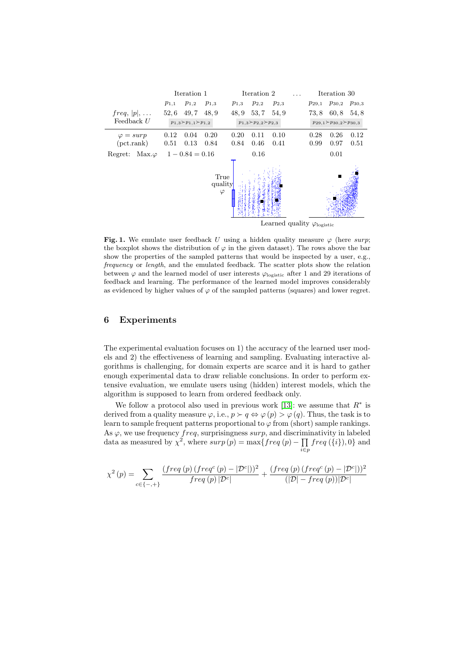

<span id="page-7-1"></span>Fig. 1. We emulate user feedback U using a hidden quality measure  $\varphi$  (here surp; the boxplot shows the distribution of  $\varphi$  in the given dataset). The rows above the bar show the properties of the sampled patterns that would be inspected by a user, e.g., frequency or length, and the emulated feedback. The scatter plots show the relation between  $\varphi$  and the learned model of user interests  $\varphi_{\text{logistic}}$  after 1 and 29 iterations of feedback and learning. The performance of the learned model improves considerably as evidenced by higher values of  $\varphi$  of the sampled patterns (squares) and lower regret.

### <span id="page-7-0"></span>6 Experiments

The experimental evaluation focuses on 1) the accuracy of the learned user models and 2) the effectiveness of learning and sampling. Evaluating interactive algorithms is challenging, for domain experts are scarce and it is hard to gather enough experimental data to draw reliable conclusions. In order to perform extensive evaluation, we emulate users using (hidden) interest models, which the algorithm is supposed to learn from ordered feedback only.

We follow a protocol also used in previous work [\[13\]](#page-12-4): we assume that  $R^*$  is derived from a quality measure  $\varphi$ , i.e.,  $p \succ q \Leftrightarrow \varphi(p) > \varphi(q)$ . Thus, the task is to learn to sample frequent patterns proportional to  $\varphi$  from (short) sample rankings. As  $\varphi$ , we use frequency  $freq$ , surprisingness  $surp$ , and discriminativity in labeled data as measured by  $\chi^2$ , where  $surr(p) = \max\{freq(p) - \prod freq(\{i\}), 0\}$  and i∈p

$$
\chi^2\left(p\right)=\sum_{c\in\{-,+\}}\frac{\left( freq\left(p\right)\left( freq^c\left(p\right)-|\mathcal{D}^c| \right)\right)^2}{freq\left(p\right)|\mathcal{D}^c|}+\frac{\left( freq\left(p\right)\left( freq^c\left(p\right)-|\mathcal{D}^c| \right)\right)^2}{(|\mathcal{D}|-freq\left(p\right))|\mathcal{D}^c|}
$$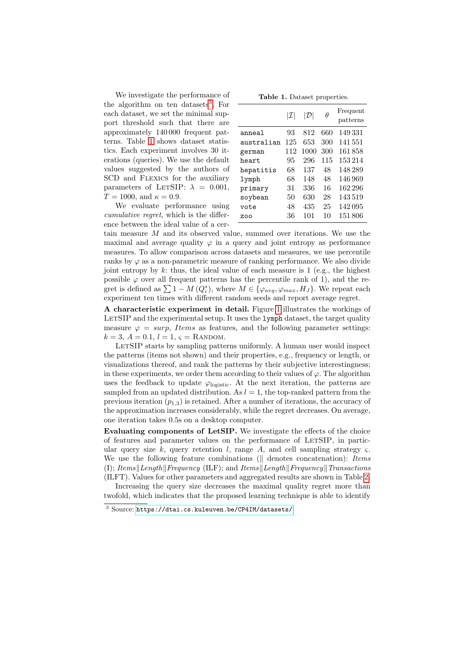We investigate the performance of the algorithm on ten datasets<sup>[3](#page-8-0)</sup>. For each dataset, we set the minimal support threshold such that there are approximately 140 000 frequent patterns. Table [1](#page-8-1) shows dataset statistics. Each experiment involves 30 iterations (queries). We use the default values suggested by the authors of SCD and Flexics for the auxiliary parameters of LETSIP:  $\lambda = 0.001$ ,  $T = 1000$ , and  $\kappa = 0.9$ .

We evaluate performance using cumulative regret, which is the difference between the ideal value of a cer-

<span id="page-8-1"></span>

|  |  | Table 1. Dataset properties. |
|--|--|------------------------------|
|--|--|------------------------------|

|            |     |      | θ   | Frequent<br>patterns |
|------------|-----|------|-----|----------------------|
| anneal     | 93  | 812  | 660 | 149331               |
| australian | 125 | 653  | 300 | 141551               |
| german     | 112 | 1000 | 300 | 161858               |
| heart.     | 95  | 296  | 115 | 153214               |
| hepatitis  | 68  | 137  | 48  | 148289               |
| lymph      | 68  | 148  | 48  | 146969               |
| primary    | 31  | 336  | 16  | 162296               |
| soybean    | 50  | 630  | 28  | 143519               |
| vote       | 48  | 435  | 25  | 142095               |
| <b>Z00</b> | 36  | 101  | 10  | 151806               |

tain measure  $M$  and its observed value, summed over iterations. We use the maximal and average quality  $\varphi$  in a query and joint entropy as performance measures. To allow comparison across datasets and measures, we use percentile ranks by  $\varphi$  as a non-parametric measure of ranking performance. We also divide joint entropy by k: thus, the ideal value of each measure is  $1$  (e.g., the highest possible  $\varphi$  over all frequent patterns has the percentile rank of 1), and the regret is defined as  $\sum 1 - M(Q_i^*)$ , where  $M \in \{\varphi_{avg}, \varphi_{max}, H_J\}$ . We repeat each experiment ten times with different random seeds and report average regret.

A characteristic experiment in detail. Figure [1](#page-7-1) illustrates the workings of LETSIP and the experimental setup. It uses the **lymph** dataset, the target quality measure  $\varphi = \text{surp}, \text{Items}$  as features, and the following parameter settings:  $k = 3, A = 0.1, l = 1, \varsigma =$ RANDOM.

LETSIP starts by sampling patterns uniformly. A human user would inspect the patterns (items not shown) and their properties, e.g., frequency or length, or visualizations thereof, and rank the patterns by their subjective interestingness; in these experiments, we order them according to their values of  $\varphi$ . The algorithm uses the feedback to update  $\varphi_{\text{logistic}}$ . At the next iteration, the patterns are sampled from an updated distribution. As  $l = 1$ , the top-ranked pattern from the previous iteration  $(p_{1,3})$  is retained. After a number of iterations, the accuracy of the approximation increases considerably, while the regret decreases. On average, one iteration takes 0.5s on a desktop computer.

Evaluating components of LetSIP. We investigate the effects of the choice of features and parameter values on the performance of LetSIP, in particular query size k, query retention l, range A, and cell sampling strategy  $\varsigma$ . We use the following feature combinations ( $\parallel$  denotes concatenation): *Items* (I); Items | Length | Frequency (ILF); and Items | Length | Frequency | Transactions (ILFT). Values for other parameters and aggregated results are shown in Table [2.](#page-10-0)

Increasing the query size decreases the maximal quality regret more than twofold, which indicates that the proposed learning technique is able to identify

<span id="page-8-0"></span><sup>3</sup> Source: <https://dtai.cs.kuleuven.be/CP4IM/datasets/>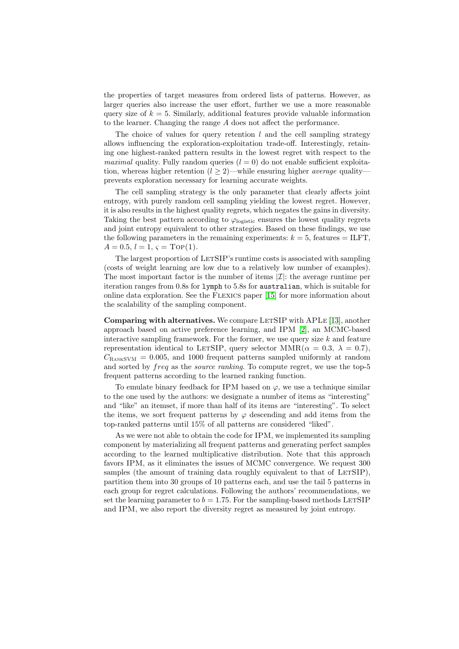the properties of target measures from ordered lists of patterns. However, as larger queries also increase the user effort, further we use a more reasonable query size of  $k = 5$ . Similarly, additional features provide valuable information to the learner. Changing the range A does not affect the performance.

The choice of values for query retention  $l$  and the cell sampling strategy allows influencing the exploration-exploitation trade-off. Interestingly, retaining one highest-ranked pattern results in the lowest regret with respect to the *maximal* quality. Fully random queries  $(l = 0)$  do not enable sufficient exploitation, whereas higher retention  $(l \geq 2)$ —while ensuring higher *average* qualityprevents exploration necessary for learning accurate weights.

The cell sampling strategy is the only parameter that clearly affects joint entropy, with purely random cell sampling yielding the lowest regret. However, it is also results in the highest quality regrets, which negates the gains in diversity. Taking the best pattern according to  $\varphi_{\text{logistic}}$  ensures the lowest quality regrets and joint entropy equivalent to other strategies. Based on these findings, we use the following parameters in the remaining experiments:  $k = 5$ , features = ILFT,  $A = 0.5, l = 1, \varsigma = \text{Top}(1).$ 

The largest proportion of LETSIP's runtime costs is associated with sampling (costs of weight learning are low due to a relatively low number of examples). The most important factor is the number of items  $|\mathcal{I}|$ : the average runtime per iteration ranges from 0.8s for lymph to 5.8s for australian, which is suitable for online data exploration. See the Flexics paper [\[15\]](#page-12-6) for more information about the scalability of the sampling component.

Comparing with alternatives. We compare LETSIP with APLE [\[13\]](#page-12-4), another approach based on active preference learning, and IPM [\[2\]](#page-11-7), an MCMC-based interactive sampling framework. For the former, we use query size  $k$  and feature representation identical to LETSIP, query selector  $MMR(\alpha = 0.3, \lambda = 0.7)$ ,  $C_{\text{RANKSVM}} = 0.005$ , and 1000 frequent patterns sampled uniformly at random and sorted by *freq* as the *source ranking*. To compute regret, we use the top-5 frequent patterns according to the learned ranking function.

To emulate binary feedback for IPM based on  $\varphi$ , we use a technique similar to the one used by the authors: we designate a number of items as "interesting" and "like" an itemset, if more than half of its items are "interesting". To select the items, we sort frequent patterns by  $\varphi$  descending and add items from the top-ranked patterns until 15% of all patterns are considered "liked".

As we were not able to obtain the code for IPM, we implemented its sampling component by materializing all frequent patterns and generating perfect samples according to the learned multiplicative distribution. Note that this approach favors IPM, as it eliminates the issues of MCMC convergence. We request 300 samples (the amount of training data roughly equivalent to that of LETSIP), partition them into 30 groups of 10 patterns each, and use the tail 5 patterns in each group for regret calculations. Following the authors' recommendations, we set the learning parameter to  $b = 1.75$ . For the sampling-based methods LETSIP and IPM, we also report the diversity regret as measured by joint entropy.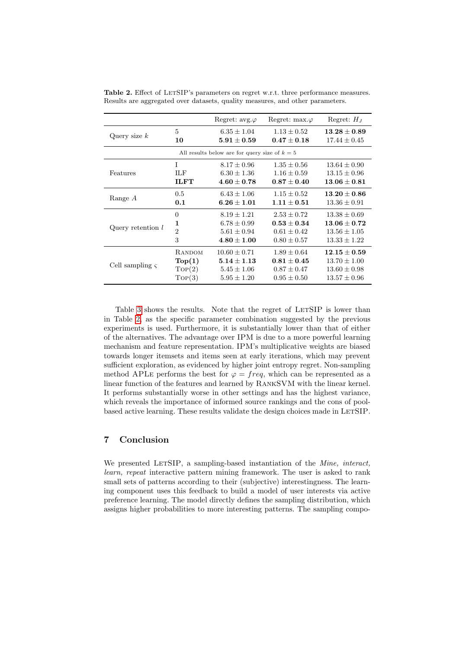|                           |                                               | Regret: $avg.\varphi$ | Regret: max. $\varphi$ | Regret: $H_J$                      |  |  |
|---------------------------|-----------------------------------------------|-----------------------|------------------------|------------------------------------|--|--|
| Query size $k$            | $\overline{5}$                                | $6.35 \pm 1.04$       | $1.13 \pm 0.52$        | $13.28 + 0.89$                     |  |  |
|                           | 10                                            | $5.91\pm0.59$         | $0.47 + 0.18$          | $17.44 \pm 0.45$                   |  |  |
|                           | All results below are for query size of $k=5$ |                       |                        |                                    |  |  |
| Features                  | T                                             | $8.17 \pm 0.96$       | $1.35 \pm 0.56$        | $13.64 \pm 0.90$                   |  |  |
|                           | <b>ILF</b>                                    | $6.30 \pm 1.36$       | $1.16 \pm 0.59$        | $13.15 \pm 0.96$                   |  |  |
|                           | <b>ILFT</b>                                   | $4.60 + 0.78$         | $0.87 + 0.40$          | $13.06 + 0.81$                     |  |  |
| Range A                   | 0.5                                           | $6.43 \pm 1.06$       | $1.15 \pm 0.52$        | $13.20\pm0.86$                     |  |  |
|                           | 0.1                                           | $6.26 + 1.01$         | $1.11 + 0.51$          | $13.36 \pm 0.91$                   |  |  |
| Query retention $l$       | $\theta$                                      | $8.19 \pm 1.21$       | $2.53 \pm 0.72$        | $13.38 \pm 0.69$                   |  |  |
|                           | 1                                             | $6.78 \pm 0.99$       | $0.53 + 0.34$          | $13.06 + 0.72$                     |  |  |
|                           | $\overline{2}$                                | $5.61 \pm 0.94$       | $0.61 \pm 0.42$        | $13.56 \pm 1.05$                   |  |  |
|                           | 3                                             | $4.80 + 1.00$         | $0.80 \pm 0.57$        | $13.33 \pm 1.22$                   |  |  |
| Cell sampling $\varsigma$ | RANDOM                                        | $10.60 \pm 0.71$      | $1.89 \pm 0.64$        | $\textbf{12.15} \pm \textbf{0.59}$ |  |  |
|                           | Top(1)                                        | $5.14 \pm 1.13$       | $0.81 \pm 0.45$        | $13.70 \pm 1.00$                   |  |  |
|                           | Top(2)                                        | $5.45 \pm 1.06$       | $0.87 \pm 0.47$        | $13.60 \pm 0.98$                   |  |  |
|                           | Top(3)                                        | $5.95 \pm 1.20$       | $0.95 \pm 0.50$        | $13.57 \pm 0.96$                   |  |  |

<span id="page-10-0"></span>Table 2. Effect of LETSIP's parameters on regret w.r.t. three performance measures. Results are aggregated over datasets, quality measures, and other parameters.

Table [3](#page-11-8) shows the results. Note that the regret of LETSIP is lower than in Table [2,](#page-10-0) as the specific parameter combination suggested by the previous experiments is used. Furthermore, it is substantially lower than that of either of the alternatives. The advantage over IPM is due to a more powerful learning mechanism and feature representation. IPM's multiplicative weights are biased towards longer itemsets and items seen at early iterations, which may prevent sufficient exploration, as evidenced by higher joint entropy regret. Non-sampling method APLE performs the best for  $\varphi = freq$ , which can be represented as a linear function of the features and learned by RankSVM with the linear kernel. It performs substantially worse in other settings and has the highest variance, which reveals the importance of informed source rankings and the cons of poolbased active learning. These results validate the design choices made in LETSIP.

### 7 Conclusion

We presented LETSIP, a sampling-based instantiation of the *Mine*, *interact*, learn, repeat interactive pattern mining framework. The user is asked to rank small sets of patterns according to their (subjective) interestingness. The learning component uses this feedback to build a model of user interests via active preference learning. The model directly defines the sampling distribution, which assigns higher probabilities to more interesting patterns. The sampling compo-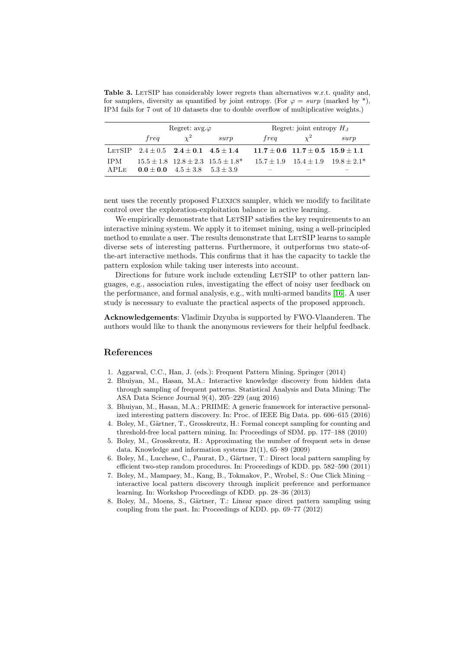<span id="page-11-8"></span>Table 3. LETSIP has considerably lower regrets than alternatives w.r.t. quality and, for samplers, diversity as quantified by joint entropy. (For  $\varphi = \text{surp}$  (marked by \*), IPM fails for 7 out of 10 datasets due to double overflow of multiplicative weights.)

|      | Regret: $avg.\varphi$                      |                                     |                                          | Regret: joint entropy $H_J$ |                                        |                                          |
|------|--------------------------------------------|-------------------------------------|------------------------------------------|-----------------------------|----------------------------------------|------------------------------------------|
|      | freq                                       | $\chi^2$                            | surp                                     | freq                        | $\gamma^2$                             | surp                                     |
|      | LETSIP $2.4 + 0.5$ $2.4 + 0.1$ $4.5 + 1.4$ |                                     |                                          |                             | $11.7 + 0.6$ $11.7 + 0.5$ $15.9 + 1.1$ |                                          |
| IPM- |                                            |                                     | $15.5 + 1.8$ $12.8 + 2.3$ $15.5 + 1.8$ * |                             |                                        | $15.7 + 1.9$ $15.4 + 1.9$ $19.8 + 2.1^*$ |
| APLE |                                            | $0.0 + 0.0$ $4.5 + 3.8$ $5.3 + 3.9$ |                                          |                             |                                        |                                          |

nent uses the recently proposed Flexics sampler, which we modify to facilitate control over the exploration-exploitation balance in active learning.

We empirically demonstrate that LETSIP satisfies the key requirements to an interactive mining system. We apply it to itemset mining, using a well-principled method to emulate a user. The results demonstrate that LETSIP learns to sample diverse sets of interesting patterns. Furthermore, it outperforms two state-ofthe-art interactive methods. This confirms that it has the capacity to tackle the pattern explosion while taking user interests into account.

Directions for future work include extending LETSIP to other pattern languages, e.g., association rules, investigating the effect of noisy user feedback on the performance, and formal analysis, e.g., with multi-armed bandits [\[16\]](#page-12-17). A user study is necessary to evaluate the practical aspects of the proposed approach.

Acknowledgements: Vladimir Dzyuba is supported by FWO-Vlaanderen. The authors would like to thank the anonymous reviewers for their helpful feedback.

### References

- <span id="page-11-0"></span>1. Aggarwal, C.C., Han, J. (eds.): Frequent Pattern Mining. Springer (2014)
- <span id="page-11-7"></span>2. Bhuiyan, M., Hasan, M.A.: Interactive knowledge discovery from hidden data through sampling of frequent patterns. Statistical Analysis and Data Mining: The ASA Data Science Journal 9(4), 205–229 (aug 2016)
- <span id="page-11-6"></span>3. Bhuiyan, M., Hasan, M.A.: PRIIME: A generic framework for interactive personalized interesting pattern discovery. In: Proc. of IEEE Big Data. pp. 606–615 (2016)
- <span id="page-11-3"></span>4. Boley, M., Gärtner, T., Grosskreutz, H.: Formal concept sampling for counting and threshold-free local pattern mining. In: Proceedings of SDM. pp. 177–188 (2010)
- <span id="page-11-1"></span>5. Boley, M., Grosskreutz, H.: Approximating the number of frequent sets in dense data. Knowledge and information systems 21(1), 65–89 (2009)
- <span id="page-11-4"></span>6. Boley, M., Lucchese, C., Paurat, D., Gärtner, T.: Direct local pattern sampling by efficient two-step random procedures. In: Proceedings of KDD. pp. 582–590 (2011)
- <span id="page-11-2"></span>7. Boley, M., Mampaey, M., Kang, B., Tokmakov, P., Wrobel, S.: One Click Mining – interactive local pattern discovery through implicit preference and performance learning. In: Workshop Proceedings of KDD. pp. 28–36 (2013)
- <span id="page-11-5"></span>8. Boley, M., Moens, S., Gärtner, T.: Linear space direct pattern sampling using coupling from the past. In: Proceedings of KDD. pp. 69–77 (2012)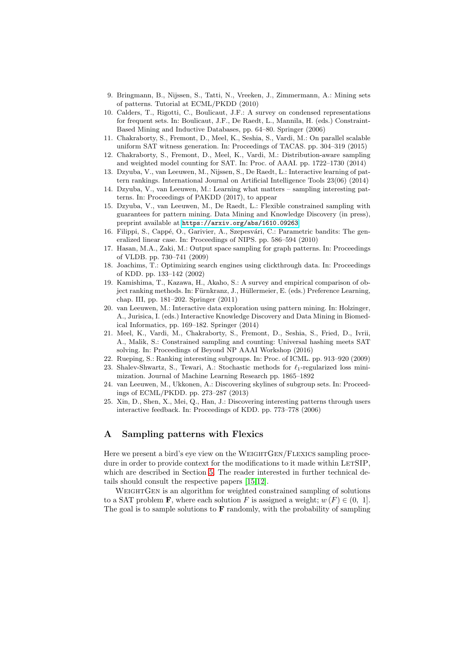- <span id="page-12-2"></span>9. Bringmann, B., Nijssen, S., Tatti, N., Vreeken, J., Zimmermann, A.: Mining sets of patterns. Tutorial at ECML/PKDD (2010)
- <span id="page-12-1"></span>10. Calders, T., Rigotti, C., Boulicaut, J.F.: A survey on condensed representations for frequent sets. In: Boulicaut, J.F., De Raedt, L., Mannila, H. (eds.) Constraint-Based Mining and Inductive Databases, pp. 64–80. Springer (2006)
- <span id="page-12-16"></span>11. Chakraborty, S., Fremont, D., Meel, K., Seshia, S., Vardi, M.: On parallel scalable uniform SAT witness generation. In: Proceedings of TACAS. pp. 304–319 (2015)
- <span id="page-12-5"></span>12. Chakraborty, S., Fremont, D., Meel, K., Vardi, M.: Distribution-aware sampling and weighted model counting for SAT. In: Proc. of AAAI. pp. 1722–1730 (2014)
- <span id="page-12-4"></span>13. Dzyuba, V., van Leeuwen, M., Nijssen, S., De Raedt, L.: Interactive learning of pattern rankings. International Journal on Artificial Intelligence Tools 23(06) (2014)
- <span id="page-12-0"></span>14. Dzyuba, V., van Leeuwen, M.: Learning what matters – sampling interesting patterns. In: Proceedings of PAKDD (2017), to appear
- <span id="page-12-6"></span>15. Dzyuba, V., van Leeuwen, M., De Raedt, L.: Flexible constrained sampling with guarantees for pattern mining. Data Mining and Knowledge Discovery (in press), preprint available at <https://arxiv.org/abs/1610.09263>
- <span id="page-12-17"></span>16. Filippi, S., Cappé, O., Garivier, A., Szepesvári, C.: Parametric bandits: The generalized linear case. In: Proceedings of NIPS. pp. 586–594 (2010)
- <span id="page-12-8"></span>17. Hasan, M.A., Zaki, M.: Output space sampling for graph patterns. In: Proceedings of VLDB. pp. 730–741 (2009)
- <span id="page-12-14"></span>18. Joachims, T.: Optimizing search engines using clickthrough data. In: Proceedings of KDD. pp. 133–142 (2002)
- <span id="page-12-13"></span>19. Kamishima, T., Kazawa, H., Akaho, S.: A survey and empirical comparison of object ranking methods. In: Fürnkranz, J., Hüllermeier, E. (eds.) Preference Learning, chap. III, pp. 181–202. Springer (2011)
- <span id="page-12-3"></span>20. van Leeuwen, M.: Interactive data exploration using pattern mining. In: Holzinger, A., Jurisica, I. (eds.) Interactive Knowledge Discovery and Data Mining in Biomedical Informatics, pp. 169–182. Springer (2014)
- <span id="page-12-11"></span>21. Meel, K., Vardi, M., Chakraborty, S., Fremont, D., Seshia, S., Fried, D., Ivrii, A., Malik, S.: Constrained sampling and counting: Universal hashing meets SAT solving. In: Proceedings of Beyond NP AAAI Workshop (2016)
- <span id="page-12-10"></span>22. Rueping, S.: Ranking interesting subgroups. In: Proc. of ICML. pp. 913–920 (2009)
- <span id="page-12-15"></span>23. Shalev-Shwartz, S., Tewari, A.: Stochastic methods for  $\ell_1$ -regularized loss minimization. Journal of Machine Learning Research pp. 1865–1892
- <span id="page-12-7"></span>24. van Leeuwen, M., Ukkonen, A.: Discovering skylines of subgroup sets. In: Proceedings of ECML/PKDD. pp. 273–287 (2013)
- <span id="page-12-9"></span>25. Xin, D., Shen, X., Mei, Q., Han, J.: Discovering interesting patterns through users interactive feedback. In: Proceedings of KDD. pp. 773–778 (2006)

### <span id="page-12-12"></span>A Sampling patterns with Flexics

Here we present a bird's eye view on the WEIGHTGEN/FLEXICS sampling procedure in order to provide context for the modifications to it made within LETSIP. which are described in Section [5.](#page-4-0) The reader interested in further technical details should consult the respective papers [\[15](#page-12-6)[,12\]](#page-12-5).

WEIGHTGEN is an algorithm for weighted constrained sampling of solutions to a SAT problem **F**, where each solution F is assigned a weight;  $w(F) \in (0, 1]$ . The goal is to sample solutions to  $\bf{F}$  randomly, with the probability of sampling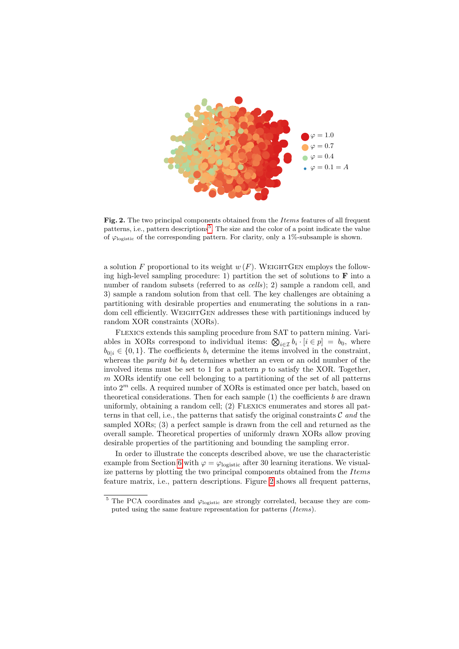<span id="page-13-1"></span>

Fig. 2. The two principal components obtained from the *Items* features of all frequent patterns, i.e., pattern descriptions<sup>[5](#page-13-0)</sup>. The size and the color of a point indicate the value of  $\varphi_{\text{logistic}}$  of the corresponding pattern. For clarity, only a 1%-subsample is shown.

a solution F proportional to its weight  $w(F)$ . WEIGHTGEN employs the following high-level sampling procedure: 1) partition the set of solutions to  $\bf{F}$  into a number of random subsets (referred to as *cells*); 2) sample a random cell, and 3) sample a random solution from that cell. The key challenges are obtaining a partitioning with desirable properties and enumerating the solutions in a random cell efficiently. WEIGHTGEN addresses these with partitionings induced by random XOR constraints (XORs).

Flexics extends this sampling procedure from SAT to pattern mining. Variables in XORs correspond to individual items:  $\bigotimes_{i \in \mathcal{I}} b_i \cdot [i \in p] = b_0$ , where  $b_{0|i} \in \{0,1\}$ . The coefficients  $b_i$  determine the items involved in the constraint, whereas the *parity bit*  $b_0$  determines whether an even or an odd number of the involved items must be set to 1 for a pattern  $p$  to satisfy the XOR. Together,  $m$  XORs identify one cell belonging to a partitioning of the set of all patterns into  $2^m$  cells. A required number of XORs is estimated once per batch, based on theoretical considerations. Then for each sample  $(1)$  the coefficients b are drawn uniformly, obtaining a random cell; (2) FLEXICS enumerates and stores all patterns in that cell, i.e., the patterns that satisfy the original constraints  $\mathcal C$  and the sampled XORs; (3) a perfect sample is drawn from the cell and returned as the overall sample. Theoretical properties of uniformly drawn XORs allow proving desirable properties of the partitioning and bounding the sampling error.

In order to illustrate the concepts described above, we use the characteristic example from Section [6](#page-7-0) with  $\varphi = \varphi_{\text{logistic}}$  after 30 learning iterations. We visualize patterns by plotting the two principal components obtained from the Items feature matrix, i.e., pattern descriptions. Figure [2](#page-13-1) shows all frequent patterns,

<span id="page-13-0"></span> $5$  The PCA coordinates and  $\varphi$ <sub>logistic</sub> are strongly correlated, because they are computed using the same feature representation for patterns (Items).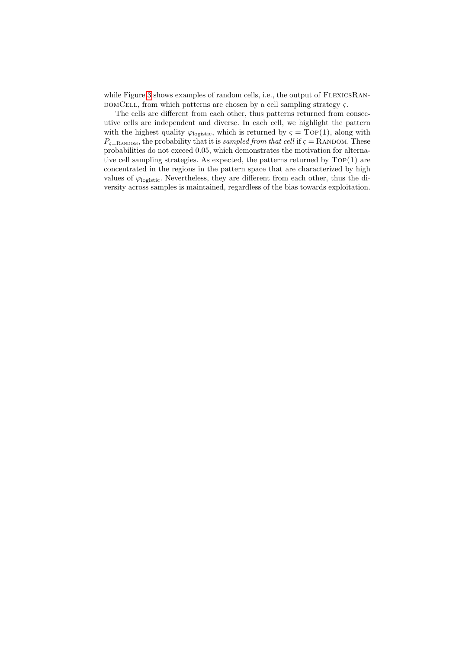while Figure [3](#page-15-0) shows examples of random cells, i.e., the output of FLEXICSRAN- $DOMCELL, from which patterns are chosen by a cell sampling strategy  $\varsigma$ .$ 

The cells are different from each other, thus patterns returned from consecutive cells are independent and diverse. In each cell, we highlight the pattern with the highest quality  $\varphi_{\text{logistic}}$ , which is returned by  $\varsigma = \text{Top}(1)$ , along with  $P_{\varsigma=RANDOM}$ , the probability that it is sampled from that cell if  $\varsigma =$  RANDOM. These probabilities do not exceed 0.05, which demonstrates the motivation for alternative cell sampling strategies. As expected, the patterns returned by Top(1) are concentrated in the regions in the pattern space that are characterized by high values of  $\varphi$ <sub>logistic</sub>. Nevertheless, they are different from each other, thus the diversity across samples is maintained, regardless of the bias towards exploitation.